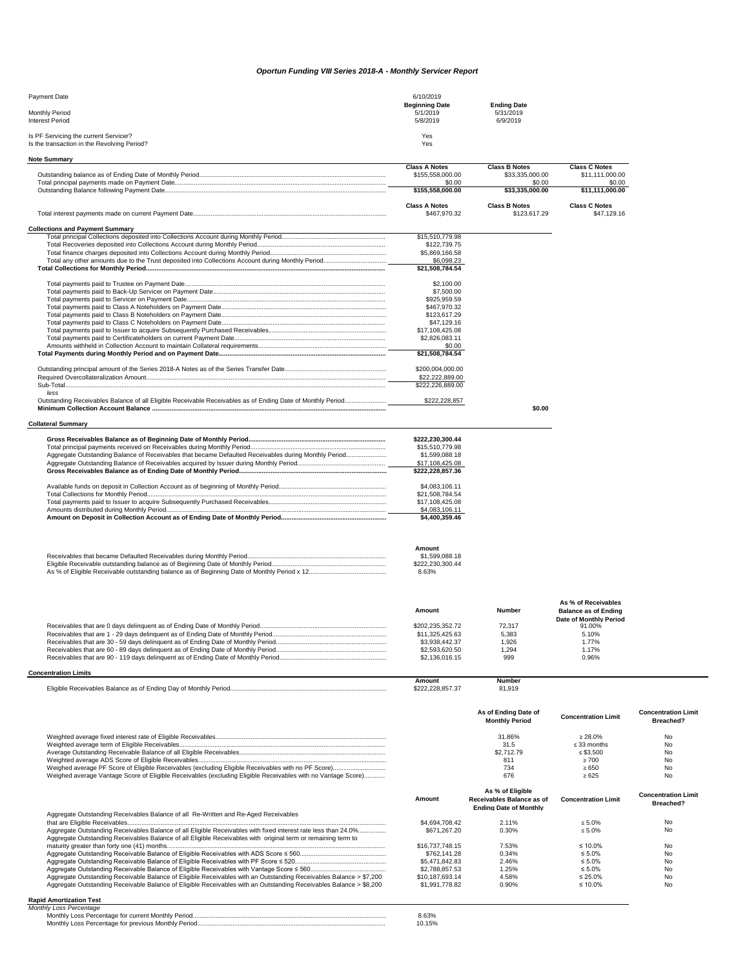## *Oportun Funding VIII Series 2018-A - Monthly Servicer Report*

| Payment Date                                                                         | 6/10/2019                                     |                                             |  |
|--------------------------------------------------------------------------------------|-----------------------------------------------|---------------------------------------------|--|
| Monthly Period<br><b>Interest Period</b>                                             | <b>Beginning Date</b><br>5/1/2019<br>5/8/2019 | <b>Ending Date</b><br>5/31/2019<br>6/9/2019 |  |
| Is PF Servicing the current Servicer?<br>Is the transaction in the Revolving Period? | Yes<br>Yes                                    |                                             |  |

| <b>Note Summary</b>                                                                                          |                      |                       |                             |                            |
|--------------------------------------------------------------------------------------------------------------|----------------------|-----------------------|-----------------------------|----------------------------|
|                                                                                                              | <b>Class A Notes</b> | <b>Class B Notes</b>  | <b>Class C Notes</b>        |                            |
|                                                                                                              | \$155,558,000.00     | \$33,335,000.00       | \$11,111,000.00             |                            |
|                                                                                                              | \$0.00               | \$0.00                | \$0.00                      |                            |
|                                                                                                              | \$155,558,000.00     | \$33,335,000.00       | \$11,111,000.00             |                            |
|                                                                                                              |                      |                       |                             |                            |
|                                                                                                              | <b>Class A Notes</b> | <b>Class B Notes</b>  | <b>Class C Notes</b>        |                            |
|                                                                                                              | \$467.970.32         | \$123,617.29          | \$47,129,16                 |                            |
|                                                                                                              |                      |                       |                             |                            |
| <b>Collections and Payment Summary</b>                                                                       |                      |                       |                             |                            |
|                                                                                                              | \$15,510,779.98      |                       |                             |                            |
|                                                                                                              | \$122,739.75         |                       |                             |                            |
|                                                                                                              | \$5,869,166.58       |                       |                             |                            |
|                                                                                                              | \$6,098.23           |                       |                             |                            |
|                                                                                                              | \$21,508,784.54      |                       |                             |                            |
|                                                                                                              |                      |                       |                             |                            |
|                                                                                                              | \$2,100.00           |                       |                             |                            |
|                                                                                                              | \$7,500.00           |                       |                             |                            |
|                                                                                                              | \$925,959.59         |                       |                             |                            |
|                                                                                                              | \$467,970.32         |                       |                             |                            |
|                                                                                                              | \$123,617.29         |                       |                             |                            |
|                                                                                                              | \$47,129.16          |                       |                             |                            |
|                                                                                                              | \$17,108,425.08      |                       |                             |                            |
|                                                                                                              | \$2,826,083.11       |                       |                             |                            |
|                                                                                                              | \$0.00               |                       |                             |                            |
|                                                                                                              |                      |                       |                             |                            |
|                                                                                                              | \$21,508,784.54      |                       |                             |                            |
|                                                                                                              |                      |                       |                             |                            |
|                                                                                                              | \$200.004.000.00     |                       |                             |                            |
|                                                                                                              | \$22,222,889.00      |                       |                             |                            |
| Sub-Total                                                                                                    | \$222,226,889.00     |                       |                             |                            |
| less                                                                                                         |                      |                       |                             |                            |
| Outstanding Receivables Balance of all Eligible Receivable Receivables as of Ending Date of Monthly Period   | \$222,228,857        |                       |                             |                            |
|                                                                                                              |                      | \$0.00                |                             |                            |
|                                                                                                              |                      |                       |                             |                            |
| <b>Collateral Summary</b>                                                                                    |                      |                       |                             |                            |
|                                                                                                              |                      |                       |                             |                            |
|                                                                                                              | \$222,230,300.44     |                       |                             |                            |
|                                                                                                              | \$15,510,779.98      |                       |                             |                            |
| Aggregate Outstanding Balance of Receivables that became Defaulted Receivables during Monthly Period         | \$1,599,088.18       |                       |                             |                            |
|                                                                                                              | \$17,108,425.08      |                       |                             |                            |
|                                                                                                              | \$222.228.857.36     |                       |                             |                            |
|                                                                                                              |                      |                       |                             |                            |
|                                                                                                              | \$4,083,106.11       |                       |                             |                            |
|                                                                                                              | \$21,508,784.54      |                       |                             |                            |
|                                                                                                              | \$17,108,425.08      |                       |                             |                            |
|                                                                                                              | \$4,083,106.11       |                       |                             |                            |
|                                                                                                              | \$4,400,359.46       |                       |                             |                            |
|                                                                                                              |                      |                       |                             |                            |
|                                                                                                              |                      |                       |                             |                            |
|                                                                                                              |                      |                       |                             |                            |
|                                                                                                              |                      |                       |                             |                            |
|                                                                                                              | Amount               |                       |                             |                            |
|                                                                                                              | \$1,599,088.18       |                       |                             |                            |
|                                                                                                              | \$222,230,300.44     |                       |                             |                            |
|                                                                                                              | 8.63%                |                       |                             |                            |
|                                                                                                              |                      |                       |                             |                            |
|                                                                                                              |                      |                       |                             |                            |
|                                                                                                              |                      |                       |                             |                            |
|                                                                                                              |                      |                       | As % of Receivables         |                            |
|                                                                                                              | Amount               | Number                | <b>Balance as of Ending</b> |                            |
|                                                                                                              |                      |                       | Date of Monthly Period      |                            |
|                                                                                                              | \$202.235.352.72     | 72.317                | 91.00%                      |                            |
|                                                                                                              | \$11,325,425.63      | 5,383                 | 5.10%                       |                            |
|                                                                                                              | \$3,938,442.37       | 1,926                 | 1.77%                       |                            |
|                                                                                                              | \$2,593,620.50       | 1,294                 | 1.17%                       |                            |
|                                                                                                              | \$2,136,016.15       | 999                   | 0.96%                       |                            |
|                                                                                                              |                      |                       |                             |                            |
| <b>Concentration Limits</b>                                                                                  |                      |                       |                             |                            |
|                                                                                                              | <b>Amount</b>        | <b>Number</b>         |                             |                            |
|                                                                                                              | \$222,228,857.37     | 81,919                |                             |                            |
|                                                                                                              |                      |                       |                             |                            |
|                                                                                                              |                      |                       |                             |                            |
|                                                                                                              |                      |                       |                             |                            |
|                                                                                                              |                      | As of Ending Date of  | <b>Concentration Limit</b>  | <b>Concentration Limit</b> |
|                                                                                                              |                      | <b>Monthly Period</b> |                             | Breached?                  |
|                                                                                                              |                      |                       |                             |                            |
|                                                                                                              |                      | 31.86%                | $\geq 28.0\%$               | No                         |
|                                                                                                              |                      | 31.5                  | $\leq$ 33 months            | No                         |
|                                                                                                              |                      | \$2,712.79            | $\leq$ \$3,500              | No                         |
|                                                                                                              |                      | 811                   | $\geq 700$                  | No                         |
|                                                                                                              |                      | 734                   | $\geq 650$                  | No                         |
| Weighed average Vantage Score of Eligible Receivables (excluding Eligible Receivables with no Vantage Score) |                      | 676                   | $\geq 625$                  | No                         |
|                                                                                                              |                      |                       |                             |                            |
|                                                                                                              |                      |                       |                             |                            |

|                                                                                                                                                                                                                                 | Amount          | As % of Eligible<br>Receivables Balance as of<br><b>Ending Date of Monthly</b> | <b>Concentration Limit</b> | <b>Concentration Limit</b><br>Breached? |
|---------------------------------------------------------------------------------------------------------------------------------------------------------------------------------------------------------------------------------|-----------------|--------------------------------------------------------------------------------|----------------------------|-----------------------------------------|
| Aggregate Outstanding Receivables Balance of all Re-Written and Re-Aged Receivables                                                                                                                                             |                 |                                                                                |                            |                                         |
|                                                                                                                                                                                                                                 | \$4,694,708,42  | 2.11%                                                                          | $\leq 5.0\%$               | No                                      |
| Aggregate Outstanding Receivables Balance of all Eligible Receivables with fixed interest rate less than 24.0%<br>Aggregate Outstanding Receivables Balance of all Eligible Receivables with original term or remaining term to | \$671,267.20    | 0.30%                                                                          | $\leq 5.0\%$               | No                                      |
|                                                                                                                                                                                                                                 | \$16,737,748.15 | 7.53%                                                                          | $\leq 10.0\%$              | No                                      |
|                                                                                                                                                                                                                                 | \$762.141.28    | 0.34%                                                                          | $\leq 5.0\%$               | No.                                     |
|                                                                                                                                                                                                                                 | \$5,471,842.83  | 2.46%                                                                          | $\leq 5.0\%$               | <b>No</b>                               |
|                                                                                                                                                                                                                                 | \$2,788,857.53  | 1.25%                                                                          | $\leq 5.0\%$               | No                                      |
| Aggregate Outstanding Receivable Balance of Eligible Receivables with an Outstanding Receivables Balance > \$7,200                                                                                                              | \$10.187.693.14 | 4.58%                                                                          | $\leq 25.0\%$              | No                                      |
| Aggregate Outstanding Receivable Balance of Eligible Receivables with an Outstanding Receivables Balance > \$8,200                                                                                                              | \$1,991,778.82  | 0.90%                                                                          | $\leq 10.0\%$              | No                                      |

## **Rapid Amortization Test** *Monthly Loss Percentage*

| muny Loss Percentage                                |  |
|-----------------------------------------------------|--|
| Monthly Loss Percentage for current Monthly Period. |  |
| Monthly Loss Percentage for previous Monthly Period |  |